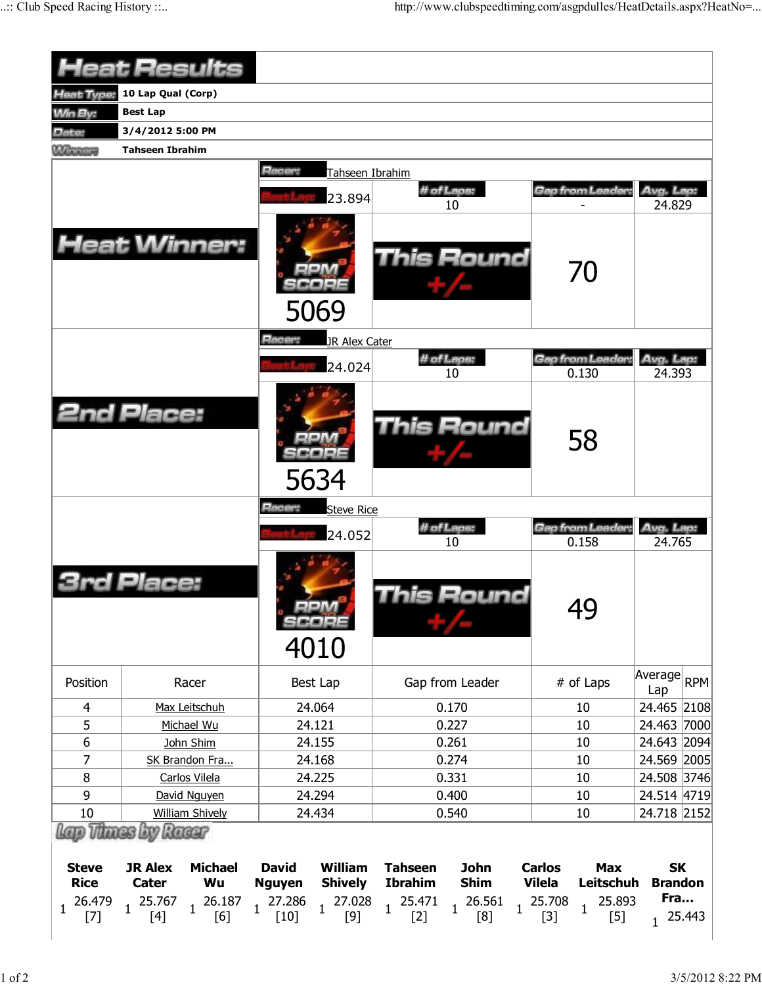|                             |                        | <b>Heat Results</b>                                                                                                                      |               |                 |                                          |                            |                                |                         |                                          |  |
|-----------------------------|------------------------|------------------------------------------------------------------------------------------------------------------------------------------|---------------|-----------------|------------------------------------------|----------------------------|--------------------------------|-------------------------|------------------------------------------|--|
| <b>Heat Type:</b>           | 10 Lap Qual (Corp)     |                                                                                                                                          |               |                 |                                          |                            |                                |                         |                                          |  |
| <b>Win By:</b>              | <b>Best Lap</b>        |                                                                                                                                          |               |                 |                                          |                            |                                |                         |                                          |  |
| Date:                       | 3/4/2012 5:00 PM       |                                                                                                                                          |               |                 |                                          |                            |                                |                         |                                          |  |
| <b>Winning</b>              | <b>Tahseen Ibrahim</b> |                                                                                                                                          |               |                 |                                          |                            |                                |                         |                                          |  |
|                             |                        |                                                                                                                                          | Racer:        | Tahseen Ibrahim |                                          |                            |                                |                         |                                          |  |
|                             |                        |                                                                                                                                          |               | 23.894          |                                          | # of Laps:                 |                                | Gap from Leader:        | Avg. Lap:                                |  |
|                             |                        |                                                                                                                                          |               |                 |                                          | 10                         |                                |                         | 24.829                                   |  |
|                             |                        | <b>Heat Winner:</b>                                                                                                                      |               | 5069            |                                          | <b>This Round</b>          |                                | 70                      |                                          |  |
|                             |                        |                                                                                                                                          | Racer:        | JR Alex Cater   |                                          |                            |                                |                         |                                          |  |
|                             |                        |                                                                                                                                          |               | 24.024          |                                          | # of Laps:                 |                                | Gap from Leader         | Avg. Lap:                                |  |
|                             |                        |                                                                                                                                          |               |                 |                                          | 10                         |                                | 0.130                   | 24.393                                   |  |
| <b>2nd Place:</b>           |                        |                                                                                                                                          |               | 5634            |                                          | This Round                 |                                | 58                      |                                          |  |
|                             |                        |                                                                                                                                          | Racer:        | Steve Rice      |                                          |                            |                                |                         |                                          |  |
|                             |                        |                                                                                                                                          |               |                 |                                          | # of Laps:                 |                                | Gap from Leader:        | Avg. Lap:                                |  |
|                             |                        |                                                                                                                                          |               | 24.052          |                                          | 10                         |                                | 0.158                   | 24.765                                   |  |
|                             | Place:                 |                                                                                                                                          |               | 4010            |                                          | his Round                  |                                | 49                      |                                          |  |
| Position                    |                        | Racer                                                                                                                                    |               | Best Lap        |                                          | Gap from Leader            |                                | # of Laps               | $\overline{\mathsf{Average}}$ RPM<br>Lap |  |
| 4                           |                        | Max Leitschuh                                                                                                                            |               | 24.064          |                                          | 0.170                      |                                | 10                      | 24.465 2108                              |  |
| 5                           |                        | Michael Wu                                                                                                                               |               | 24.121          |                                          | 0.227                      |                                | 10                      | 24.463 7000                              |  |
| 6                           |                        | John Shim                                                                                                                                |               | 24.155          |                                          | 0.261                      |                                | 10                      | 24.643 2094                              |  |
| 7                           |                        | SK Brandon Fra                                                                                                                           |               | 24.168          |                                          | 0.274                      |                                | 10                      | 24.569 2005                              |  |
| 8                           |                        | Carlos Vilela                                                                                                                            |               | 24.225          |                                          | 0.331                      |                                | 10                      | 24.508 3746                              |  |
| 9                           |                        | David Nguyen                                                                                                                             |               | 24.294          |                                          | 0.400                      |                                | 10                      | 24.514 4719                              |  |
| 10                          |                        | <b>William Shively</b>                                                                                                                   |               | 24.434          |                                          | 0.540                      |                                | 10                      | 24.718 2152                              |  |
| Lap Thues by Rueur          |                        |                                                                                                                                          |               |                 |                                          |                            |                                |                         |                                          |  |
| <b>Steve</b><br><b>Rice</b> | <b>JR Alex</b>         | <b>Michael</b>                                                                                                                           | <b>David</b>  | William         | <b>Tahseen</b>                           | <b>John</b><br><b>Shim</b> | <b>Carlos</b><br><b>Vilela</b> | <b>Max</b><br>Leitschuh | <b>SK</b><br><b>Brandon</b>              |  |
| $1 \t26.479$<br>[7]         | Cater                  | Wu<br>$\begin{array}{cccccc} 1 & 25.767 & 1 & 26.187 & 1 & 27.286 & 1 & 27.028 \\ \text{[4]} & & & [6] & & & [10] & & & [9] \end{array}$ | <b>Nguyen</b> | <b>Shively</b>  | <b>Ibrahim</b><br>$1 \frac{25.471}{121}$ | 26.561<br>$\overline{1}$   | 25.708<br>$\mathbf{1}$         | 25.893                  | Fra                                      |  |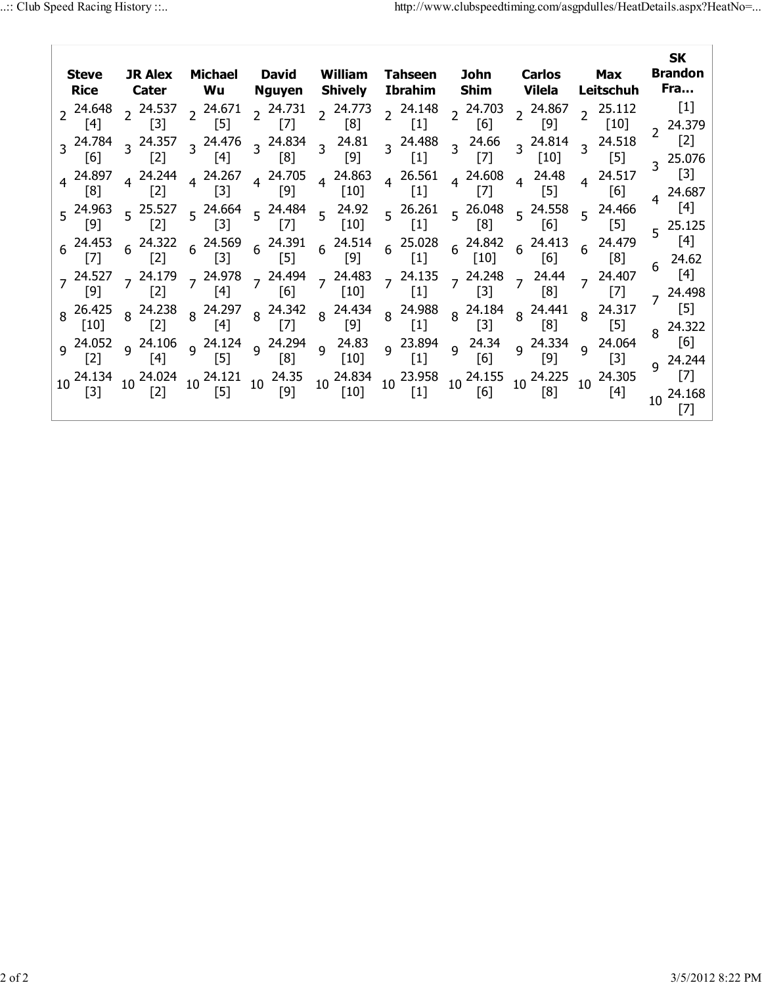| <b>Steve</b><br><b>Rice</b>                                                                                                                                                                                                                      |                                                                                                                                                                                                                                        |                                                                                                                                                                      | JR Alex Michael David<br>William<br>Cater Wu<br><b>Shively</b><br>Nguyen                                                                                                                                                                                                                                                                   |                                                                                                                                                                                                                                                                                                                                             | Tahseen                                                                                                                                                                                                                                                                                                               | John<br>Ibrahim Shim                                                                                                                                       | Carlos<br>Vilela                                                                                                                                                                                                                                 | Max<br>Leitschuh                                                                                                                                                                                   | <b>SK</b><br><b>Brandon</b><br>Fra                                                                                                                                               |
|--------------------------------------------------------------------------------------------------------------------------------------------------------------------------------------------------------------------------------------------------|----------------------------------------------------------------------------------------------------------------------------------------------------------------------------------------------------------------------------------------|----------------------------------------------------------------------------------------------------------------------------------------------------------------------|--------------------------------------------------------------------------------------------------------------------------------------------------------------------------------------------------------------------------------------------------------------------------------------------------------------------------------------------|---------------------------------------------------------------------------------------------------------------------------------------------------------------------------------------------------------------------------------------------------------------------------------------------------------------------------------------------|-----------------------------------------------------------------------------------------------------------------------------------------------------------------------------------------------------------------------------------------------------------------------------------------------------------------------|------------------------------------------------------------------------------------------------------------------------------------------------------------|--------------------------------------------------------------------------------------------------------------------------------------------------------------------------------------------------------------------------------------------------|----------------------------------------------------------------------------------------------------------------------------------------------------------------------------------------------------|----------------------------------------------------------------------------------------------------------------------------------------------------------------------------------|
| $2^{24.648}$<br>$\lceil 4 \rceil$<br>$3^{24.784}$<br>$\lceil 6 \rceil$<br>4 24.897<br>$\lceil 8 \rceil$<br>5 24.963<br>[9]<br>$6^{24.453}$<br>$[7]$<br>$7^{24.527}$<br>[9]<br>$8^{26.425}$<br>$\lceil 10 \rceil$<br>9 <sup>24.052</sup><br>$[2]$ | $2^{24.537}$<br>$\lceil 3 \rceil$<br>$3^{24.357}$<br>$[2]$<br>4 24.244<br>$[2]$<br>$5^{25.527}$<br>$\lceil 2 \rceil$<br>$6^{24.322}$<br>$\lceil 2 \rceil$<br>$7^{24.179}$<br>$\lceil 2 \rceil$<br>8 24.238<br>$[2]$<br>9 24.106<br>[4] | $2^{24.671}$<br>$\lceil 5 \rceil$<br>3 24.476<br>$[4]$<br>$4^{24.267}$<br>$[3]$<br>$\lceil 3 \rceil$<br>$[3]$<br>$[4]$<br>$\lceil 4 \rceil$<br>$9^{24.124}$<br>$[5]$ | $2^{24.731}$<br>$[7]$<br>$3^{24.834}$<br>[8]<br>4 24.705<br>$[9]$<br>$5\begin{array}{@{}c@{\hspace{1em}}c@{\hspace{1em}}l} 24.664 & 5\begin{array}{@{}c@{\hspace{1em}}l} 24.484 & 5\end{array} & 24.92$<br>[7]<br>$6\begin{array}{l} 24.569 \\ 6 \end{array}$ $6\begin{array}{l} 24.391 \\ 51 \end{array}$<br>$[5]$<br>[6]<br>$[7]$<br>[8] | $2^{24.773}$<br>$\lceil 8 \rceil$<br>$3^{24.81}$<br>[9]<br>4 24.863<br>$[10]$<br>$[10]$<br>$[9]$<br>$7 \frac{24.978}{100}$ $7 \frac{24.494}{100}$ $7 \frac{24.483}{100}$<br>[10]<br>$8\begin{array}{c c} 24.297 & 8 & 24.342 & 8 & 24.434 \\ 547 & 8 & 51 & 8 & 501 \end{array}$<br>$\lceil 9 \rceil$<br>$9^{24.294}$ $9^{24.83}$<br>$[10]$ | $2^{24.148}$<br>$[1]$<br>3 24.488<br>$[1]$<br>$4^{26.561}$<br>$[1]$<br>$5^{26.261}$<br>$\lceil 1 \rceil$<br>$6\begin{array}{@{}c@{\hspace{1em}}c@{\hspace{1em}}l} 24.514 & 6 & 25.028 & 6 & 24.842 & 6 & 24.413 \\ 6 & 52 & 6 & 51 & 6 & 512 & 6 & 56 \\ \end{array}$<br>$[1]$<br>$\left[1\right]$<br>9 23.894<br>[1] | $2^{24.703}$<br>[6]<br>$3^{24.66}$<br>$[7]$<br>$4^{24.608}$<br>$[7]$<br>[8]<br>$[10]$<br>$7^{24.135}$ $7^{24.248}$<br>$[3]$<br>$[3]$<br>$9^{24.34}$<br>[6] | $2^{24.867}$<br>$[9]$<br>$3^{24.814}$<br>$[10]$<br>$4^{24.48}$<br>$[5]$<br>$5\begin{array}{l} 26.048 \\ 5 \end{array}$ 5 24.558<br>[6]<br>[6]<br>$7^{24.44}$<br>[8]<br>8  24.988  8  24.184  8  24.441<br>[1] 8  [3] 8  [8]<br>9 24.334<br>$[9]$ | $2^{25.112}$<br>$[10]$<br>$3^{24.518}$<br>$[5]$<br>4 24.517<br>[6]<br>$5\frac{24.466}{1}$<br>$[5]$<br>24.479<br>$6\overline{6}$<br>[8]<br>$7^{24.407}$<br>$8^{24.317}$<br>[5]<br>9 24.064<br>$[3]$ | $[1]$<br>24.379<br>$\overline{2}$<br>$[2]$<br>3 25.076<br>$[3]$<br>4 24.687<br>$[4]$<br>$5^{25.125}$<br>[4]<br>24.62<br>6<br>[4]<br>24.498<br>$[5]$<br>24.322<br>[6]<br>9 24.244 |
| 10 24.134<br>$[3]$                                                                                                                                                                                                                               | 10 24.024<br>$[2]$                                                                                                                                                                                                                     | [5]                                                                                                                                                                  | $10^{24.121}$ $10^{24.35}$<br>$[9]$                                                                                                                                                                                                                                                                                                        | $[10]$                                                                                                                                                                                                                                                                                                                                      | $10\begin{array}{l} 24.834 \\ 10\end{array}$ 10 $\begin{array}{l} 23.958 \\ 13.2 \end{array}$<br>$[1]$                                                                                                                                                                                                                | [6]                                                                                                                                                        | 10 24.155 10 24.225<br>[8]                                                                                                                                                                                                                       | 10 24.305<br>[4]                                                                                                                                                                                   | $\lceil 7 \rceil$<br>10 24.168<br>[7]                                                                                                                                            |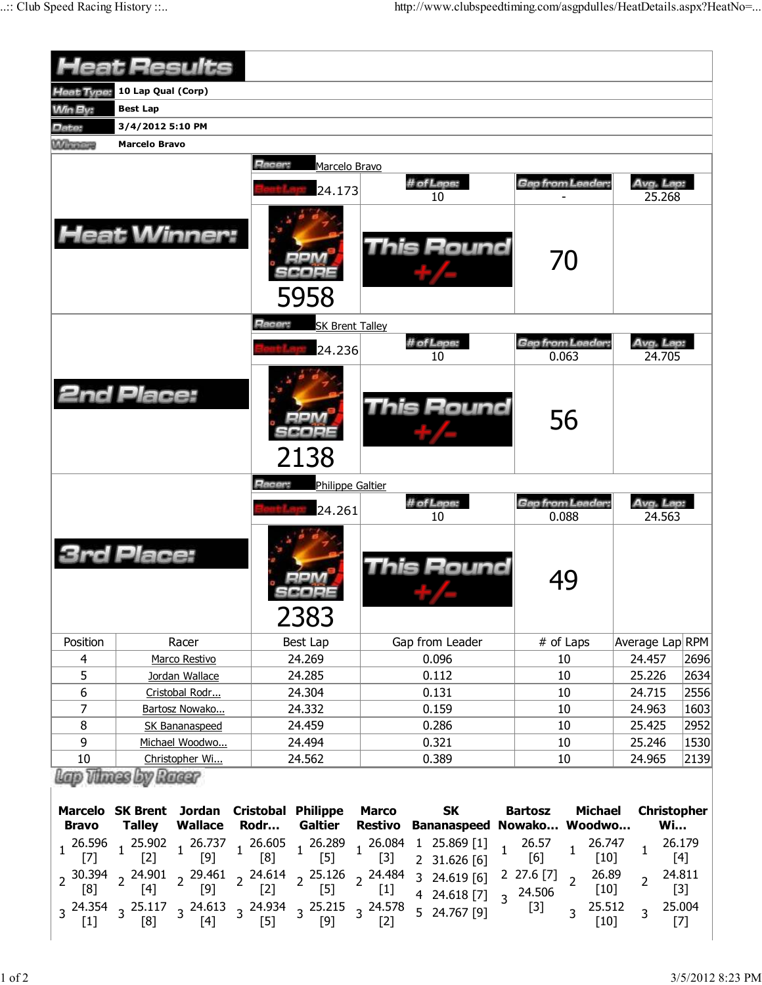|                          | <b>Heat Results</b>                                              |                                          |                           |                                  |                    |      |
|--------------------------|------------------------------------------------------------------|------------------------------------------|---------------------------|----------------------------------|--------------------|------|
| <b>Heat Type:</b>        | 10 Lap Qual (Corp)                                               |                                          |                           |                                  |                    |      |
| Win By:                  | <b>Best Lap</b>                                                  |                                          |                           |                                  |                    |      |
| Date:                    | 3/4/2012 5:10 PM                                                 |                                          |                           |                                  |                    |      |
| When                     | <b>Marcelo Bravo</b>                                             |                                          |                           |                                  |                    |      |
|                          |                                                                  | <b>Racer:</b><br>Marcelo Bravo           |                           |                                  |                    |      |
|                          |                                                                  |                                          | # of Laps:                | Gap from Leader:                 | Avg. Lap:          |      |
|                          |                                                                  | 24.173                                   | 10                        |                                  | 25.268             |      |
|                          | <b>Heat Winner:</b>                                              | 5958                                     | <b>This Round</b>         | 70                               |                    |      |
|                          |                                                                  | Racer:<br><b>SK Brent Talley</b>         |                           |                                  |                    |      |
|                          |                                                                  |                                          | # of Laps:                | <b>Gap from Leader:</b>          | Avg. Lap:          |      |
|                          |                                                                  | 24.236                                   | 10                        | 0.063                            | 24.705             |      |
|                          | <b>2nd Place:</b>                                                | 2138                                     | <b>This Round</b>         | 56                               |                    |      |
|                          |                                                                  | <b>Racer:</b><br><b>Philippe Galtier</b> |                           |                                  |                    |      |
|                          |                                                                  | 24.261                                   | # of Laps:                | <b>Gap from Leader:</b>          | Avg. Lap:          |      |
|                          |                                                                  |                                          | 10                        | 0.088                            | 24.563             |      |
|                          | rd Place:                                                        | 2383                                     | This Round                | 49                               |                    |      |
| Position                 | Racer                                                            | Best Lap                                 | Gap from Leader           | # of Laps                        | Average Lap RPM    |      |
| $\overline{\mathcal{A}}$ | Marco Restivo                                                    | 24.269                                   | 0.096                     | 10                               | 24.457             | 2696 |
| 5                        | Jordan Wallace                                                   | 24.285                                   | 0.112                     | 10                               | 25.226             | 2634 |
| 6                        | Cristobal Rodr                                                   | 24.304                                   | 0.131                     | $10\,$                           | 24.715             | 2556 |
| 7                        | Bartosz Nowako                                                   | 24.332                                   | 0.159                     | 10                               | 24.963             | 1603 |
| 8                        | SK Bananaspeed                                                   | 24.459                                   | 0.286                     | $10\,$                           | 25.425             | 2952 |
| 9                        | Michael Woodwo                                                   | 24.494                                   | 0.321                     | 10                               | 25.246             | 1530 |
| 10                       | Christopher Wi                                                   | 24.562                                   | 0.389                     | 10                               | 24.965             | 2139 |
|                          | Lap Times by Racer<br>Marcelo SK Brent Jordan Cristobal Philippe |                                          | <b>SK</b><br><b>Marco</b> | <b>Bartosz</b><br><b>Michael</b> | <b>Christopher</b> |      |

| Bravo |  |  | Marcelo SK Brent Jordan Cristobal Philippe Marco SK<br>Talley Wallace Rodr Galtier Restivo Bananaspeed-Nowako Woodwo                                                                                                                                                         |  | <b>Bartosz Michael Christopher</b><br>Wi |
|-------|--|--|------------------------------------------------------------------------------------------------------------------------------------------------------------------------------------------------------------------------------------------------------------------------------|--|------------------------------------------|
|       |  |  | $\begin{array}{cccccccccccc} 1&26.596&1&25.902&1&26.737&1&26.605&1&26.289&1&26.084&1&25.869&[1] &1&26.57&1&26.747&1&26.179 \\ \hline [7] & & [2] & & [9] & & [8] & & [5] & & [3] & &2&31.626&[6] & & [6] & & & [10] & & & [4] \end{array}$                                   |  |                                          |
|       |  |  | $\begin{array}{cccccccccccc} 2&30.394&2&24.901&2&29.461&2&24.614&2&25.126&2&24.484&3&24.619 &[6] &2&27.6 &[7] &2&26.89&2&24.811\\ [8] & 2& [4] & 2& [9] & 2& [2] & 2& [5] & 2& [1] &4&24.618 &[7] &3&24.506& &[10] &2& [3] \\ 3& 24.354 &3& 25.117 &3& 24.613 &3& 24.934 &3$ |  |                                          |
|       |  |  |                                                                                                                                                                                                                                                                              |  |                                          |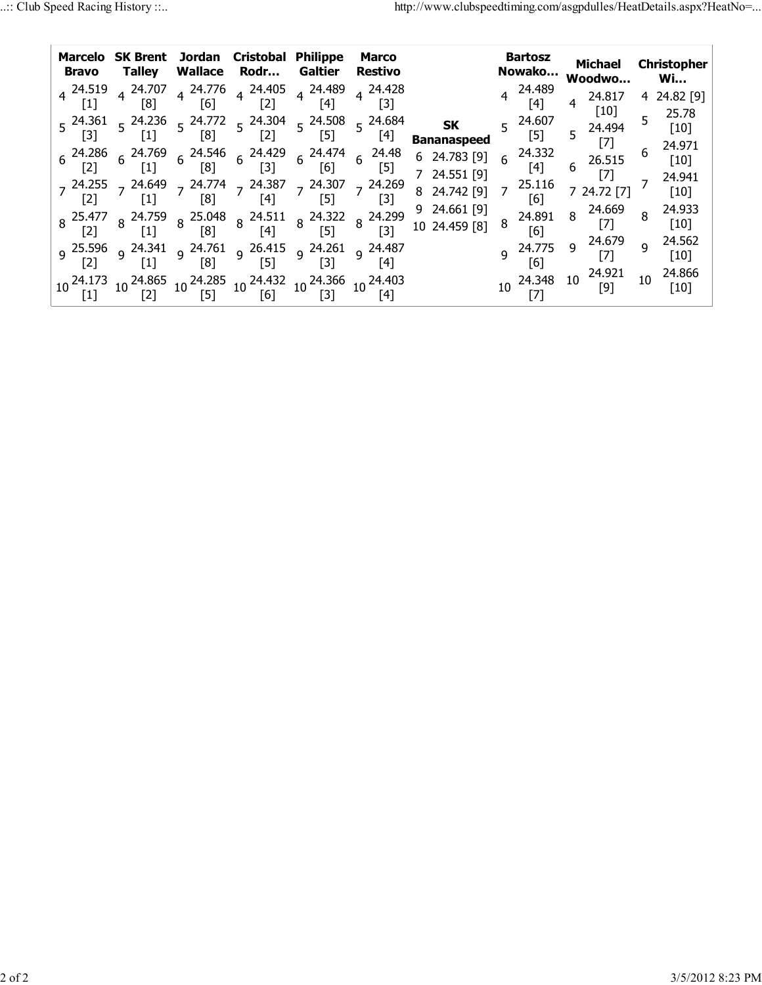| Marcelo<br><b>Bravo</b> | Talley                                                                                                                        |     | <b>SK Brent</b> Jordan Cristobal<br>Wallace Rodr                          | <b>Philippe</b><br>Galtier    | <b>Marco</b><br>Restivo |                                 | <b>Bartosz</b><br>Nowako |                               | <b>Michael</b><br>Woodwo                                                                  |    | Christopher<br>Wi           |  |
|-------------------------|-------------------------------------------------------------------------------------------------------------------------------|-----|---------------------------------------------------------------------------|-------------------------------|-------------------------|---------------------------------|--------------------------|-------------------------------|-------------------------------------------------------------------------------------------|----|-----------------------------|--|
|                         | $4\begin{array}{l} 24.519 \\ 4 \end{array}$ 4 24.707<br>$\lceil 8 \rceil$                                                     | [6] | $4\begin{array}{l} 24.776 \\ 4 \end{array}$ 4 24.405<br>$\lceil 2 \rceil$ | 4 24.489<br>$\lceil 4 \rceil$ | 4 24.428<br>[3]         |                                 |                          | 4 24.489<br>$\lceil 4 \rceil$ | 24.817<br>$[10]$                                                                          |    | 4 24.82 [9]                 |  |
|                         | $5\begin{array}{ccc} 24.361 & 5\end{array}$ 24.236 $\begin{array}{ccc} 5 & 24.772 & 5\end{array}$ 24.304                      | [8] | $[2]$                                                                     | $5^{24.508}$<br>$[5]$         | $5^{24.684}$<br>[4]     | <b>SK</b><br><b>Bananaspeed</b> | $\overline{5}$           | 24.607<br>[5]                 | 5 24.494                                                                                  | 5  | 25.78<br>$\lceil 10 \rceil$ |  |
|                         |                                                                                                                               |     |                                                                           |                               |                         | 6 24.783 [9]                    | 6                        | 24.332<br>[4]                 | $6^{26.515}$                                                                              | 6  | $[10]$                      |  |
|                         | $7^{24.255}$ $7^{24.649}$ $7^{24.774}$ $7^{24.387}$ $7^{24.307}$ $7^{24.269}$                                                 |     | $\lceil 4 \rceil$                                                         |                               | $\lceil 3 \rceil$       | 7 24.551 [9]<br>8 24.742 [9]    | 7                        | 25.116<br>[6]                 | 7 24.72 [7]                                                                               |    | 24.941<br>$[10]$            |  |
|                         | 8 25.477 8 24.759 8 25.048 8 24.511 8 24.322 8 24.299<br>[2] 8 [1] 8 [8] 8 [4] 8 [5] 8 [3]                                    |     |                                                                           |                               |                         | 9 24.661 [9]<br>10 24.459 [8]   | 8                        | 24.891<br>[6]                 | $8\quad 24.669$                                                                           | 8  | 24.933<br>$[10]$            |  |
|                         | 24.487 و 24.261 و 26.415 و 24.341 و 25.596 و 25.596 و                                                                         | [8] | $\sqrt{51}$                                                               | $\lceil 3 \rceil$             |                         |                                 |                          | 9 24.775                      | 9 24.679                                                                                  | 9  | 24.562<br>[10]              |  |
|                         | 10 <sup>24.173</sup> 10 <sup>24.865</sup> 10 <sup>24.285</sup> 10 <sup>24.432</sup> 10 <sup>24.366</sup> 10 <sup>24.403</sup> |     |                                                                           |                               |                         |                                 |                          |                               | $10\begin{array}{l} 24.348 & 10 \end{array}$ $\begin{array}{l} 24.921 \\ [9] \end{array}$ | 10 | 24.866<br>[10]              |  |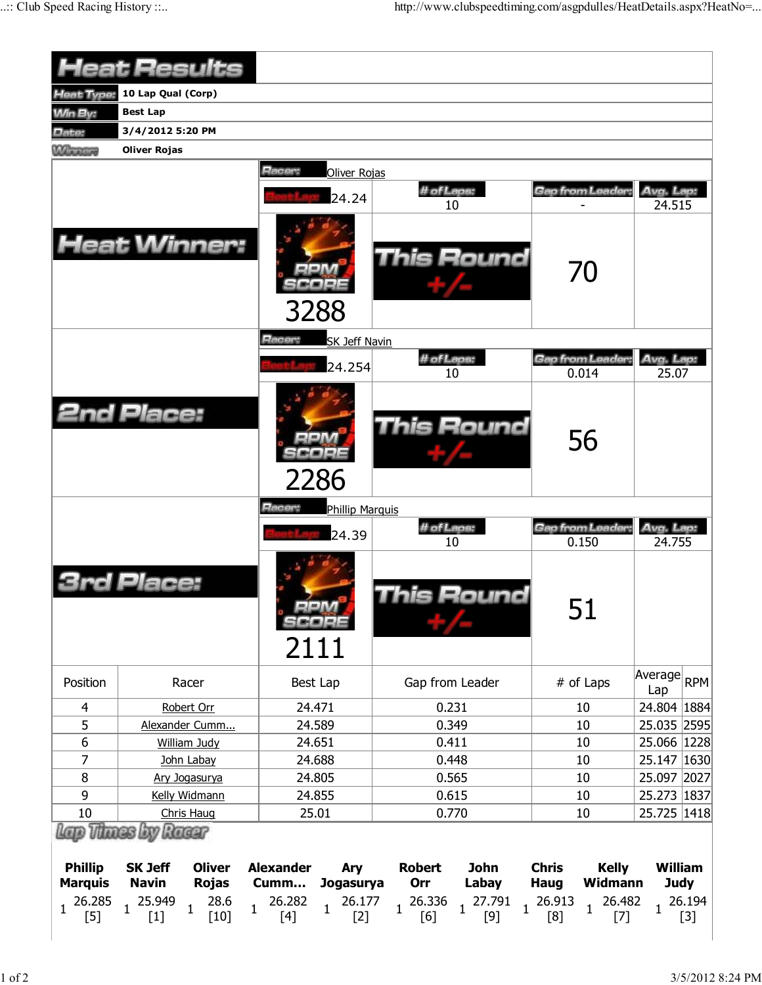|                                  | <b>Heat Results</b>                                             |                                                                   |                                                                  |                                                        |                               |
|----------------------------------|-----------------------------------------------------------------|-------------------------------------------------------------------|------------------------------------------------------------------|--------------------------------------------------------|-------------------------------|
| Heat Type:                       | 10 Lap Qual (Corp)                                              |                                                                   |                                                                  |                                                        |                               |
|                                  | <b>Best Lap</b>                                                 |                                                                   |                                                                  |                                                        |                               |
| <b>Win By:</b>                   |                                                                 |                                                                   |                                                                  |                                                        |                               |
| Date:                            | 3/4/2012 5:20 PM                                                |                                                                   |                                                                  |                                                        |                               |
| <b>Winnipeg</b>                  | <b>Oliver Rojas</b>                                             |                                                                   |                                                                  |                                                        |                               |
|                                  |                                                                 | Racer:<br>Oliver Rojas<br>24.24                                   | # of Laps:<br>10                                                 | Gap from Leader:                                       | Avg. Lap:<br>24.515           |
|                                  | <b>Heat Winner:</b>                                             | 3288                                                              | <b>This Round</b>                                                | 70                                                     |                               |
|                                  |                                                                 | Racer:<br><b>SK Jeff Navin</b>                                    | # of Laps:                                                       | Gap from Leader:                                       | Avg. Lap:                     |
|                                  |                                                                 | 24.254                                                            | 10                                                               | 0.014                                                  | 25.07                         |
|                                  | <b>2nd Place:</b>                                               | 2286                                                              | This Round                                                       | 56                                                     |                               |
|                                  |                                                                 | Racer:<br><b>Phillip Marquis</b>                                  |                                                                  |                                                        |                               |
|                                  |                                                                 | 24.39                                                             | # of Laps:<br>10                                                 | Gap from Leader:<br>0.150                              | Avg. Lap:<br>24.755           |
|                                  | Place:                                                          | 2111                                                              | his Round                                                        | 51                                                     |                               |
| Position                         | Racer                                                           | Best Lap                                                          | Gap from Leader                                                  | # of Laps                                              | Average RPM<br>Lap            |
| 4                                | Robert Orr                                                      | 24.471                                                            | 0.231                                                            | 10                                                     | 24.804   1884                 |
| 5                                | Alexander Cumm                                                  | 24.589                                                            | 0.349                                                            | 10                                                     | 25.035 2595                   |
| 6                                | <b>William Judy</b>                                             | 24.651                                                            | 0.411                                                            | 10                                                     | 25.066 1228                   |
| 7                                | John Labay                                                      | 24.688                                                            | 0.448                                                            | 10                                                     | 25.147 1630                   |
| $\bf 8$                          | Ary Jogasurya                                                   | 24.805                                                            | 0.565                                                            | 10                                                     | 25.097 2027                   |
| 9                                | Kelly Widmann                                                   | 24.855                                                            | 0.615                                                            | 10                                                     | 25.273 1837                   |
| 10                               | Chris Haug                                                      | 25.01                                                             | 0.770                                                            | 10                                                     | 25.725 1418                   |
|                                  | Thues by Racer                                                  |                                                                   |                                                                  |                                                        |                               |
| <b>Phillip</b><br><b>Marquis</b> | <b>SK Jeff</b><br><b>Oliver</b><br><b>Navin</b><br><b>Rojas</b> | <b>Alexander</b><br>Ary<br>Cumm<br><b>Jogasurya</b>               | <b>John</b><br><b>Robert</b><br>Orr<br>Labay                     | <b>Chris</b><br><b>Kelly</b><br>Widmann<br><b>Haug</b> | <b>William</b><br><b>Judy</b> |
| 26.285<br>1<br>$[5]$             | 28.6<br>25.949<br>$\mathbf{1}$<br>1<br>$[10]$<br>$[1]$          | 26.282<br>26.177<br>$\mathbf{1}$<br>$\mathbf 1$<br>$[2]$<br>$[4]$ | 26.336<br>27.791<br>$\mathbf{1}$<br>$\mathbf{1}$<br>$[9]$<br>[6] | 26.913<br>26.482<br>$\mathbf{1}$<br>1<br>[8]<br>$[7]$  | 26.194<br>$[3]$               |